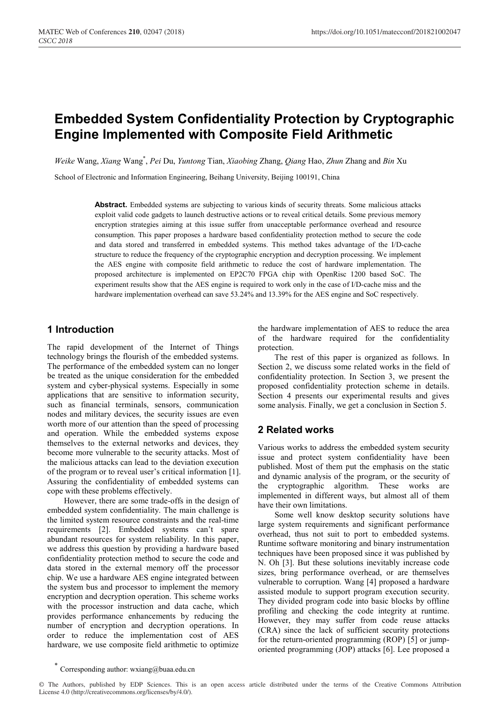# **Embedded System Confidentiality Protection by Cryptographic Engine Implemented with Composite Field Arithmetic**

*Weike* Wang, *Xiang* Wang\* , *Pei* Du, *Yuntong* Tian, *Xiaobing* Zhang, *Qiang* Hao, *Zhun* Zhang and *Bin* Xu

School of Electronic and Information Engineering, Beihang University, Beijing 100191, China

**Abstract.** Embedded systems are subjecting to various kinds of security threats. Some malicious attacks exploit valid code gadgets to launch destructive actions or to reveal critical details. Some previous memory encryption strategies aiming at this issue suffer from unacceptable performance overhead and resource consumption. This paper proposes a hardware based confidentiality protection method to secure the code and data stored and transferred in embedded systems. This method takes advantage of the I/D-cache structure to reduce the frequency of the cryptographic encryption and decryption processing. We implement the AES engine with composite field arithmetic to reduce the cost of hardware implementation. The proposed architecture is implemented on EP2C70 FPGA chip with OpenRisc 1200 based SoC. The experiment results show that the AES engine is required to work only in the case of I/D-cache miss and the hardware implementation overhead can save 53.24% and 13.39% for the AES engine and SoC respectively.

## **1 Introduction**

The rapid development of the Internet of Things technology brings the flourish of the embedded systems. The performance of the embedded system can no longer be treated as the unique consideration for the embedded system and cyber-physical systems. Especially in some applications that are sensitive to information security, such as financial terminals, sensors, communication nodes and military devices, the security issues are even worth more of our attention than the speed of processing and operation. While the embedded systems expose themselves to the external networks and devices, they become more vulnerable to the security attacks. Most of the malicious attacks can lead to the deviation execution of the program or to reveal user's critical information [1]. Assuring the confidentiality of embedded systems can cope with these problems effectively.

However, there are some trade-offs in the design of embedded system confidentiality. The main challenge is the limited system resource constraints and the real-time requirements [2]. Embedded systems can't spare abundant resources for system reliability. In this paper, we address this question by providing a hardware based confidentiality protection method to secure the code and data stored in the external memory off the processor chip. We use a hardware AES engine integrated between the system bus and processor to implement the memory encryption and decryption operation. This scheme works with the processor instruction and data cache, which provides performance enhancements by reducing the number of encryption and decryption operations. In order to reduce the implementation cost of AES hardware, we use composite field arithmetic to optimize

the hardware implementation of AES to reduce the area of the hardware required for the confidentiality protection.

The rest of this paper is organized as follows. In Section 2, we discuss some related works in the field of confidentiality protection. In Section 3, we present the proposed confidentiality protection scheme in details. Section 4 presents our experimental results and gives some analysis. Finally, we get a conclusion in Section 5.

## **2 Related works**

Various works to address the embedded system security issue and protect system confidentiality have been published. Most of them put the emphasis on the static and dynamic analysis of the program, or the security of the cryptographic algorithm. These works are implemented in different ways, but almost all of them have their own limitations.

Some well know desktop security solutions have large system requirements and significant performance overhead, thus not suit to port to embedded systems. Runtime software monitoring and binary instrumentation techniques have been proposed since it was published by N. Oh [3]. But these solutions inevitably increase code sizes, bring performance overhead, or are themselves vulnerable to corruption. Wang [4] proposed a hardware assisted module to support program execution security. They divided program code into basic blocks by offline profiling and checking the code integrity at runtime. However, they may suffer from code reuse attacks (CRA) since the lack of sufficient security protections for the return-oriented programming (ROP) [5] or jumporiented programming (JOP) attacks [6]. Lee proposed a

 $^\ast$  Corresponding author: wxiang@buaa.edu.cn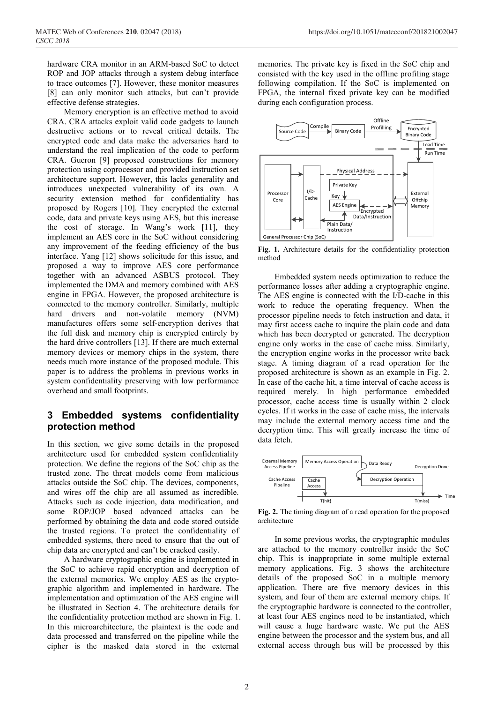hardware CRA monitor in an ARM-based SoC to detect ROP and JOP attacks through a system debug interface to trace outcomes [7]. However, these monitor measures [8] can only monitor such attacks, but can't provide effective defense strategies.

Memory encryption is an effective method to avoid CRA. CRA attacks exploit valid code gadgets to launch destructive actions or to reveal critical details. The encrypted code and data make the adversaries hard to understand the real implication of the code to perform CRA. Gueron [9] proposed constructions for memory protection using coprocessor and provided instruction set architecture support. However, this lacks generality and introduces unexpected vulnerability of its own. A security extension method for confidentiality has proposed by Rogers [10]. They encrypted the external code, data and private keys using AES, but this increase the cost of storage. In Wang's work [11], they implement an AES core in the SoC without considering any improvement of the feeding efficiency of the bus interface. Yang [12] shows solicitude for this issue, and proposed a way to improve AES core performance together with an advanced ASBUS protocol. They implemented the DMA and memory combined with AES engine in FPGA. However, the proposed architecture is connected to the memory controller. Similarly, multiple hard drivers and non-volatile memory (NVM) manufactures offers some self-encryption derives that the full disk and memory chip is encrypted entirely by the hard drive controllers [13]. If there are much external memory devices or memory chips in the system, there needs much more instance of the proposed module. This paper is to address the problems in previous works in system confidentiality preserving with low performance overhead and small footprints.

## **3 Embedded systems confidentiality protection method**

In this section, we give some details in the proposed architecture used for embedded system confidentiality protection. We define the regions of the SoC chip as the trusted zone. The threat models come from malicious attacks outside the SoC chip. The devices, components, and wires off the chip are all assumed as incredible. Attacks such as code injection, data modification, and some ROP/JOP based advanced attacks can be performed by obtaining the data and code stored outside the trusted regions. To protect the confidentiality of embedded systems, there need to ensure that the out of chip data are encrypted and can't be cracked easily.

A hardware cryptographic engine is implemented in the SoC to achieve rapid encryption and decryption of the external memories. We employ AES as the cryptographic algorithm and implemented in hardware. The implementation and optimization of the AES engine will be illustrated in Section 4. The architecture details for the confidentiality protection method are shown in Fig. 1. In this microarchitecture, the plaintext is the code and data processed and transferred on the pipeline while the cipher is the masked data stored in the external

memories. The private key is fixed in the SoC chip and consisted with the key used in the offline profiling stage following compilation. If the SoC is implemented on FPGA, the internal fixed private key can be modified during each configuration process.



**Fig. 1.** Architecture details for the confidentiality protection method

Embedded system needs optimization to reduce the performance losses after adding a cryptographic engine. The AES engine is connected with the I/D-cache in this work to reduce the operating frequency. When the processor pipeline needs to fetch instruction and data, it may first access cache to inquire the plain code and data which has been decrypted or generated. The decryption engine only works in the case of cache miss. Similarly, the encryption engine works in the processor write back stage. A timing diagram of a read operation for the proposed architecture is shown as an example in Fig. 2. In case of the cache hit, a time interval of cache access is required merely. In high performance embedded processor, cache access time is usually within 2 clock cycles. If it works in the case of cache miss, the intervals may include the external memory access time and the decryption time. This will greatly increase the time of data fetch.



**Fig. 2.** The timing diagram of a read operation for the proposed architecture

In some previous works, the cryptographic modules are attached to the memory controller inside the SoC chip. This is inappropriate in some multiple external memory applications. Fig. 3 shows the architecture details of the proposed SoC in a multiple memory application. There are five memory devices in this system, and four of them are external memory chips. If the cryptographic hardware is connected to the controller, at least four AES engines need to be instantiated, which will cause a huge hardware waste. We put the AES engine between the processor and the system bus, and all external access through bus will be processed by this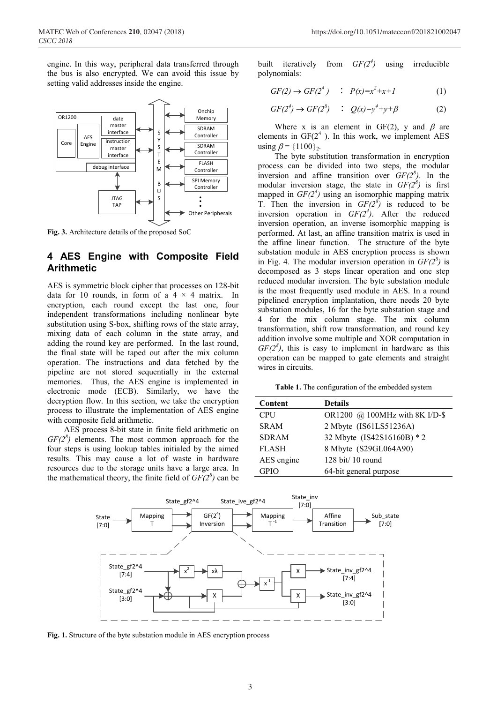engine. In this way, peripheral data transferred through the bus is also encrypted. We can avoid this issue by setting valid addresses inside the engine.



**Fig. 3.** Architecture details of the proposed SoC

## **4 AES Engine with Composite Field Arithmetic**

AES is symmetric block cipher that processes on 128-bit data for 10 rounds, in form of a  $4 \times 4$  matrix. In encryption, each round except the last one, four independent transformations including nonlinear byte substitution using S-box, shifting rows of the state array, mixing data of each column in the state array, and adding the round key are performed. In the last round, the final state will be taped out after the mix column operation. The instructions and data fetched by the pipeline are not stored sequentially in the external memories. Thus, the AES engine is implemented in electronic mode (ECB). Similarly, we have the decryption flow. In this section, we take the encryption process to illustrate the implementation of AES engine with composite field arithmetic.

AES process 8-bit state in finite field arithmetic on  $GF(2^8)$  elements. The most common approach for the four steps is using lookup tables initialed by the aimed results. This may cause a lot of waste in hardware resources due to the storage units have a large area. In the mathematical theory, the finite field of  $GF(2^8)$  can be built iteratively from *GF(2<sup>4</sup> )* using irreducible polynomials:

$$
GF(2) \to GF(24) \qquad : \quad P(x) = x2 + x + 1 \tag{1}
$$

$$
GF(24) \rightarrow GF(28) : Q(x)=y4+y+\beta
$$
 (2)

Where x is an element in GF(2), y and  $\beta$  are elements in  $GF(2<sup>4</sup>)$ . In this work, we implement AES using  $\beta = \{1100\}_2$ .

The byte substitution transformation in encryption process can be divided into two steps, the modular inversion and affine transition over  $GF(2<sup>8</sup>)$ . In the modular inversion stage, the state in  $GF(2^8)$  is first mapped in  $GF(2<sup>4</sup>)$  using an isomorphic mapping matrix T. Then the inversion in  $GF(2^8)$  is reduced to be inversion operation in  $GF(2<sup>4</sup>)$ . After the reduced inversion operation, an inverse isomorphic mapping is performed. At last, an affine transition matrix is used in the affine linear function. The structure of the byte substation module in AES encryption process is shown in Fig. 4. The modular inversion operation in  $GF(2^8)$  is decomposed as 3 steps linear operation and one step reduced modular inversion. The byte substation module is the most frequently used module in AES. In a round pipelined encryption implantation, there needs 20 byte substation modules, 16 for the byte substation stage and 4 for the mix column stage. The mix column transformation, shift row transformation, and round key addition involve some multiple and XOR computation in  $GF(2^8)$ , this is easy to implement in hardware as this operation can be mapped to gate elements and straight wires in circuits.

**Table 1.** The configuration of the embedded system

| Content      | <b>Details</b>                 |
|--------------|--------------------------------|
| <b>CPU</b>   | OR1200 @ 100MHz with 8K I/D-\$ |
| <b>SRAM</b>  | 2 Mbyte (IS61LS51236A)         |
| <b>SDRAM</b> | 32 Mbyte (IS42S16160B) * 2     |
| <b>FLASH</b> | 8 Mbyte (S29GL064A90)          |
| AES engine   | $128$ bit/ 10 round            |
| <b>GPIO</b>  | 64-bit general purpose         |



**Fig. 1.** Structure of the byte substation module in AES encryption process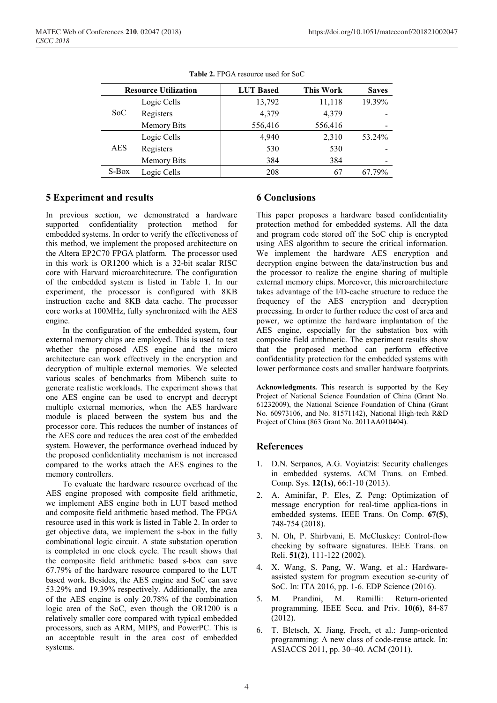| <b>Resource Utilization</b> |                    | <b>LUT Based</b> | <b>This Work</b> | <b>Saves</b> |
|-----------------------------|--------------------|------------------|------------------|--------------|
| SoC                         | Logic Cells        | 13,792           | 11,118           | 19.39%       |
|                             | Registers          | 4,379            | 4,379            |              |
|                             | <b>Memory Bits</b> | 556,416          | 556,416          |              |
| <b>AES</b>                  | Logic Cells        | 4,940            | 2,310            | 53.24%       |
|                             | Registers          | 530              | 530              |              |
|                             | <b>Memory Bits</b> | 384              | 384              |              |
| $S-Box$                     | Logic Cells        | 208              | 67               | 67.79%       |

**Table 2.** FPGA resource used for SoC

#### **5 Experiment and results**

In previous section, we demonstrated a hardware supported confidentiality protection method for embedded systems. In order to verify the effectiveness of this method, we implement the proposed architecture on the Altera EP2C70 FPGA platform. The processor used in this work is OR1200 which is a 32-bit scalar RISC core with Harvard microarchitecture. The configuration of the embedded system is listed in Table 1. In our experiment, the processor is configured with 8KB instruction cache and 8KB data cache. The processor core works at 100MHz, fully synchronized with the AES engine.

In the configuration of the embedded system, four external memory chips are employed. This is used to test whether the proposed AES engine and the micro architecture can work effectively in the encryption and decryption of multiple external memories. We selected various scales of benchmarks from Mibench suite to generate realistic workloads. The experiment shows that one AES engine can be used to encrypt and decrypt multiple external memories, when the AES hardware module is placed between the system bus and the processor core. This reduces the number of instances of the AES core and reduces the area cost of the embedded system. However, the performance overhead induced by the proposed confidentiality mechanism is not increased compared to the works attach the AES engines to the memory controllers.

To evaluate the hardware resource overhead of the AES engine proposed with composite field arithmetic, we implement AES engine both in LUT based method and composite field arithmetic based method. The FPGA resource used in this work is listed in Table 2. In order to get objective data, we implement the s-box in the fully combinational logic circuit. A state substation operation is completed in one clock cycle. The result shows that the composite field arithmetic based s-box can save 67.79% of the hardware resource compared to the LUT based work. Besides, the AES engine and SoC can save 53.29% and 19.39% respectively. Additionally, the area of the AES engine is only 20.78% of the combination logic area of the SoC, even though the OR1200 is a relatively smaller core compared with typical embedded processors, such as ARM, MIPS, and PowerPC. This is an acceptable result in the area cost of embedded systems.

#### **6 Conclusions**

This paper proposes a hardware based confidentiality protection method for embedded systems. All the data and program code stored off the SoC chip is encrypted using AES algorithm to secure the critical information. We implement the hardware AES encryption and decryption engine between the data/instruction bus and the processor to realize the engine sharing of multiple external memory chips. Moreover, this microarchitecture takes advantage of the I/D-cache structure to reduce the frequency of the AES encryption and decryption processing. In order to further reduce the cost of area and power, we optimize the hardware implantation of the AES engine, especially for the substation box with composite field arithmetic. The experiment results show that the proposed method can perform effective confidentiality protection for the embedded systems with lower performance costs and smaller hardware footprints.

**Acknowledgments.** This research is supported by the Key Project of National Science Foundation of China (Grant No. 61232009), the National Science Foundation of China (Grant No. 60973106, and No. 81571142), National High-tech R&D Project of China (863 Grant No. 2011AA010404).

#### **References**

- 1. D.N. Serpanos, A.G. Voyiatzis: Security challenges in embedded systems. ACM Trans. on Embed. Comp. Sys. **12(1s)**, 66:1-10 (2013).
- 2. A. Aminifar, P. Eles, Z. Peng: Optimization of message encryption for real-time applica-tions in embedded systems. IEEE Trans. On Comp. **67(5)**, 748-754 (2018).
- 3. N. Oh, P. Shirbvani, E. McCluskey: Control-flow checking by software signatures. IEEE Trans. on Reli. **51(2)**, 111-122 (2002).
- 4. X. Wang, S. Pang, W. Wang, et al.: Hardwareassisted system for program execution se-curity of SoC. In: ITA 2016, pp. 1-6. EDP Science (2016).
- 5. M. Prandini, M. Ramilli: Return-oriented programming. IEEE Secu. and Priv. **10(6)**, 84-87 (2012).
- 6. T. Bletsch, X. Jiang, Freeh, et al.: Jump-oriented programming: A new class of code-reuse attack. In: ASIACCS 2011, pp. 30–40. ACM (2011).